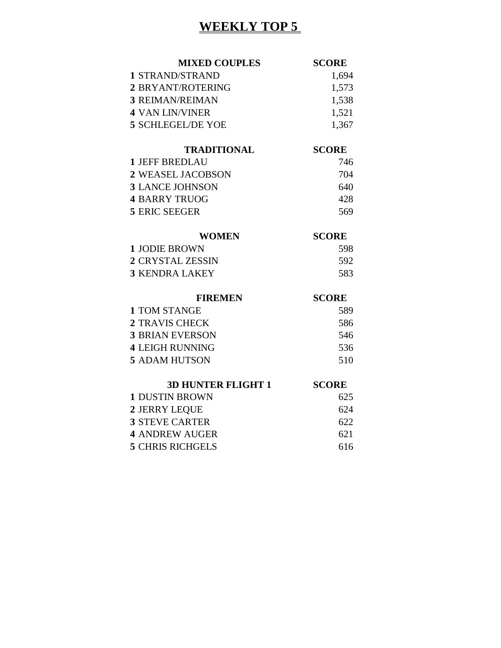# **WEEKLY TOP 5**

| <b>MIXED COUPLES</b>     | <b>SCORE</b> |
|--------------------------|--------------|
| 1 STRAND/STRAND          | 1,694        |
| 2 BRYANT/ROTERING        | 1,573        |
| <b>3 REIMAN/REIMAN</b>   | 1,538        |
| 4 VAN LIN/VINER          | 1,521        |
| <b>5 SCHLEGEL/DE YOE</b> | 1,367        |

#### **TRADITIONAL SCORE**

| 1 JEFF BREDLAU         | 746 |
|------------------------|-----|
| 2 WEASEL JACOBSON      | 704 |
| <b>3 LANCE JOHNSON</b> | 640 |
| 4 BARRY TRUOG          | 428 |
| 5 ERIC SEEGER          | 569 |

#### **WOMEN SCORE**

| 1 JODIE BROWN    | -598 |
|------------------|------|
| 2 CRYSTAL ZESSIN | .592 |
| 3 KENDRA LAKEY   | 583  |

#### **FIREMEN SCORE**

| 1 TOM STANGE           | 589 |
|------------------------|-----|
| 2 TRAVIS CHECK         | 586 |
| <b>3 BRIAN EVERSON</b> | 546 |
| <b>4 LEIGH RUNNING</b> | 536 |
| 5 ADAM HUTSON          | 510 |

#### **3D HUNTER FLIGHT 1 SCORE** DUSTIN BROWN 625 JERRY LEQUE 624

| <b>3 STEVE CARTER</b>   | 622 |
|-------------------------|-----|
| <b>4 ANDREW AUGER</b>   | 621 |
| <b>5 CHRIS RICHGELS</b> | 616 |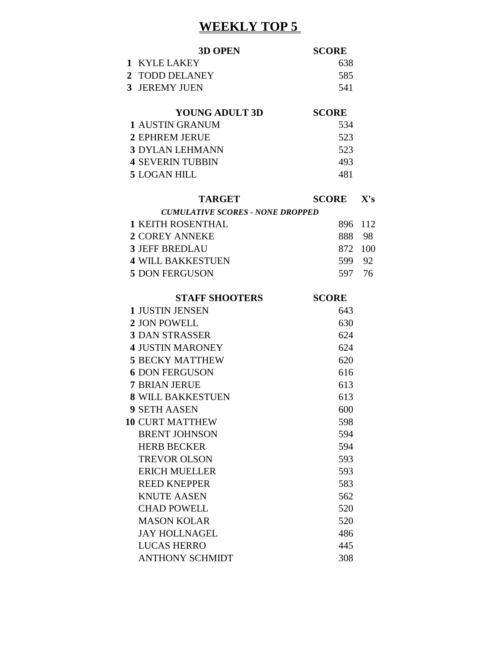# **WEEKLY TOP 5**

|                | <b>3D OPEN</b>                          | <b>SCORE</b> |      |
|----------------|-----------------------------------------|--------------|------|
| $\mathbf{1}$   | <b>KYLE LAKEY</b>                       | 638          |      |
| $\overline{2}$ | <b>TODD DELANEY</b>                     | 585          |      |
|                | 3 JEREMY JUEN                           | 541          |      |
|                |                                         |              |      |
|                | <b>YOUNG ADULT 3D</b>                   | <b>SCORE</b> |      |
|                | <b>1 AUSTIN GRANUM</b>                  | 534          |      |
|                | <b>2 EPHREM JERUE</b>                   | 523          |      |
|                | <b>3 DYLAN LEHMANN</b>                  | 523          |      |
|                | <b>4 SEVERIN TUBBIN</b>                 | 493          |      |
|                | <b>5 LOGAN HILL</b>                     | 481          |      |
|                | <b>TARGET</b>                           | <b>SCORE</b> | X's  |
|                | <b>CUMULATIVE SCORES - NONE DROPPED</b> |              |      |
|                | <b>1 KEITH ROSENTHAL</b>                | 896          | 112  |
|                | <b>2 COREY ANNEKE</b>                   | 888          | - 98 |
|                | <b>3 JEFF BREDLAU</b>                   | 872          | 100  |
|                | <b>4 WILL BAKKESTUEN</b>                | 599 92       |      |
|                | <b>5 DON FERGUSON</b>                   | 597 76       |      |
|                | <b>STAFF SHOOTERS</b>                   | <b>SCORE</b> |      |
|                | <b>1 JUSTIN JENSEN</b>                  | 643          |      |
|                | 2 JON POWELL                            | 630          |      |
|                | <b>3 DAN STRASSER</b>                   | 624          |      |
|                | <b>4 JUSTIN MARONEY</b>                 | 624          |      |
|                | <b>5 BECKY MATTHEW</b>                  | 620          |      |
|                | <b>6 DON FERGUSON</b>                   | 616          |      |
|                | <b>7 BRIAN JERUE</b>                    | 613          |      |
|                | <b>8 WILL BAKKESTUEN</b>                | 613          |      |
|                | <b>9 SETH AASEN</b>                     | 600          |      |
|                | <b>10 CURT MATTHEW</b>                  | 598          |      |
|                | <b>BRENT JOHNSON</b>                    | 594          |      |
|                | <b>HERB BECKER</b>                      | 594          |      |
|                | <b>TREVOR OLSON</b>                     | 593          |      |
|                | <b>ERICH MUELLER</b>                    | 593          |      |
|                | <b>REED KNEPPER</b>                     | 583          |      |
|                | <b>KNUTE AASEN</b>                      | 562          |      |
|                | <b>CHAD POWELL</b>                      | 520          |      |
|                | <b>MASON KOLAR</b>                      | 520          |      |
|                | <b>JAY HOLLNAGEL</b>                    | 486          |      |
|                | <b>LUCAS HERRO</b>                      | 445          |      |

ANTHONY SCHMIDT 308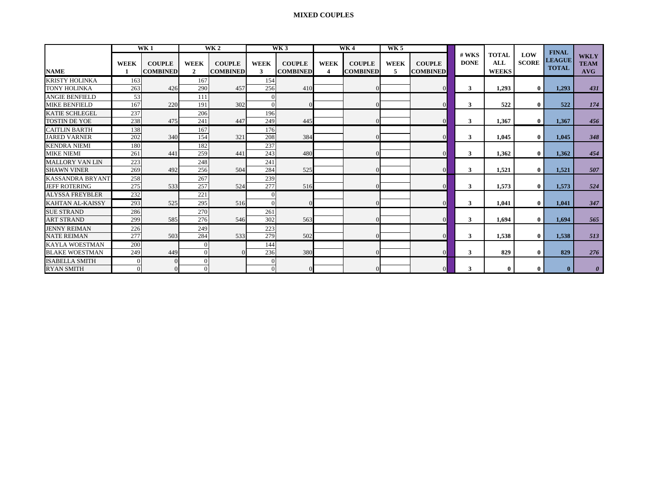#### **MIXED COUPLES**

|                                             |              | <b>WK1</b>                       |                               | <b>WK2</b>                       |                  | WK3                              |                  | WK4                              | WK <sub>5</sub>  |                                  |                      |                                     |                     | <b>FINAL</b>                  |                                   |
|---------------------------------------------|--------------|----------------------------------|-------------------------------|----------------------------------|------------------|----------------------------------|------------------|----------------------------------|------------------|----------------------------------|----------------------|-------------------------------------|---------------------|-------------------------------|-----------------------------------|
| <b>NAME</b>                                 | <b>WEEK</b>  | <b>COUPLE</b><br><b>COMBINED</b> | <b>WEEK</b><br>$\overline{2}$ | <b>COUPLE</b><br><b>COMBINED</b> | <b>WEEK</b><br>3 | <b>COUPLE</b><br><b>COMBINED</b> | <b>WEEK</b><br>4 | <b>COUPLE</b><br><b>COMBINED</b> | <b>WEEK</b><br>5 | <b>COUPLE</b><br><b>COMBINED</b> | # WKS<br><b>DONE</b> | <b>TOTAL</b><br>ALL<br><b>WEEKS</b> | LOW<br><b>SCORE</b> | <b>LEAGUE</b><br><b>TOTAL</b> | <b>WKLY</b><br><b>TEAM</b><br>AVG |
| <b>KRISTY HOLINKA</b>                       | 163          |                                  | 167                           |                                  | 154              |                                  |                  |                                  |                  |                                  |                      |                                     |                     |                               |                                   |
| <b>TONY HOLINKA</b>                         | 263          | 426                              | 290                           | 457                              | 256              | 410                              |                  | $\theta$                         |                  |                                  | 3                    | 1,293                               | $\mathbf{0}$        | 1.293                         | 431                               |
| <b>ANGIE BENFIELD</b>                       | 53           |                                  | 111                           |                                  | $\Omega$         |                                  |                  |                                  |                  |                                  |                      |                                     |                     |                               |                                   |
| <b>MIKE BENFIELD</b>                        | 167          | 220                              | 191                           | 302                              | $\Omega$         |                                  |                  | $\Omega$                         |                  |                                  | 3                    | 522                                 | $\mathbf{0}$        | 522                           | 174                               |
| KATIE SCHLEGEL                              | 237          |                                  | 206                           |                                  | 196              |                                  |                  |                                  |                  |                                  |                      |                                     |                     |                               |                                   |
| <b>TOSTIN DE YOE</b>                        | 238          | 475                              | 241                           | 447                              | 249              | 445                              |                  | $\Omega$                         |                  |                                  | 3                    | 1,367                               | $\mathbf{0}$        | 1,367                         | 456                               |
| <b>CAITLIN BARTH</b><br><b>JARED VARNER</b> | 138<br>202   | 340                              | 167<br>154                    | 321                              | 176<br>208       | 384                              |                  | $\Omega$                         |                  |                                  | 3                    | 1,045                               | $\mathbf{0}$        | 1.045                         | 348                               |
| <b>KENDRA NIEMI</b>                         | 180          |                                  | 182                           |                                  | 237              |                                  |                  |                                  |                  |                                  |                      |                                     |                     |                               |                                   |
| <b>MIKE NIEMI</b>                           | 261          | 441                              | 259                           | 441                              | 243              | 480                              |                  | $\theta$                         |                  |                                  | 3                    | 1,362                               | $\bf{0}$            | 1.362                         | 454                               |
| <b>MALLORY VAN LIN</b>                      | 223          |                                  | 248                           |                                  | 241              |                                  |                  |                                  |                  |                                  |                      |                                     |                     |                               |                                   |
| <b>SHAWN VINER</b>                          | 269          | 492                              | 256                           | 504                              | 284              | 525                              |                  | $\Omega$                         |                  |                                  | 3                    | 1,521                               | $\bf{0}$            | 1,521                         | 507                               |
| <b>KASSANDRA BRYANT</b>                     | 258          |                                  | 267                           |                                  | 239              |                                  |                  |                                  |                  |                                  |                      |                                     |                     |                               |                                   |
| <b>JEFF ROTERING</b>                        | 275          | 533                              | 257                           | 524                              | 277              | 516                              |                  | $\Omega$                         |                  |                                  | 3                    | 1,573                               | $\mathbf{0}$        | 1.573                         | 524                               |
| <b>ALYSSA FREYBLER</b>                      | 232          |                                  | 221                           |                                  | $\Omega$         |                                  |                  |                                  |                  |                                  |                      |                                     |                     |                               |                                   |
| <b>KAHTAN AL-KAISSY</b>                     | 293          | 525                              | 295                           | 516                              | $\Omega$         |                                  |                  | $\Omega$                         |                  |                                  | 3                    | 1,041                               | $\bf{0}$            | 1.041                         | 347                               |
| <b>SUE STRAND</b>                           | 286          |                                  | 270                           |                                  | 261              |                                  |                  |                                  |                  |                                  |                      |                                     |                     |                               |                                   |
| <b>ART STRAND</b>                           | 299          | 585                              | 276                           | 546                              | 302              | 563                              |                  | $\theta$                         |                  |                                  | 3                    | 1,694                               | $\mathbf{0}$        | 1.694                         | 565                               |
| <b>JENNY REIMAN</b>                         | 226          |                                  | 249                           |                                  | 223              |                                  |                  |                                  |                  |                                  |                      |                                     |                     |                               |                                   |
| <b>NATE REIMAN</b>                          | 277          | 503                              | 284                           | 533                              | 279              | 502                              |                  | $\Omega$                         |                  |                                  | 3                    | 1,538                               | $\mathbf{0}$        | 1.538                         | 513                               |
| <b>KAYLA WOESTMAN</b>                       | 200          |                                  | $\Omega$                      |                                  | 144              |                                  |                  |                                  |                  |                                  |                      |                                     |                     |                               |                                   |
| <b>BLAKE WOESTMAN</b>                       | 249          | 449                              | $\Omega$                      | $\Omega$                         | 236              | 380                              |                  | $\Omega$                         |                  |                                  | 3                    | 829                                 | $\bf{0}$            | 829                           | 276                               |
| <b>ISABELLA SMITH</b>                       | $\mathbf{0}$ |                                  |                               |                                  |                  |                                  |                  |                                  |                  |                                  |                      |                                     |                     |                               |                                   |
| <b>RYAN SMITH</b>                           | $\Omega$     |                                  |                               |                                  |                  |                                  |                  | $\theta$                         |                  |                                  | 3                    | $\bf{0}$                            | $\mathbf{0}$        | $\mathbf{0}$                  | $\boldsymbol{\theta}$             |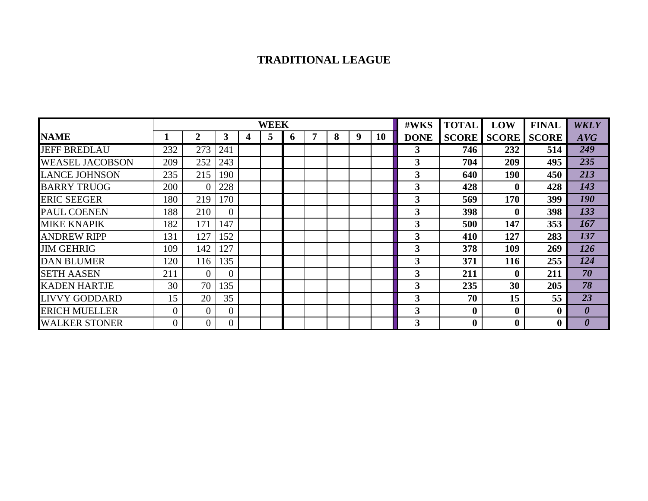## **TRADITIONAL LEAGUE**

|                        |     |                |          |   | <b>WEEK</b> |              |   |   |   | #WKS | <b>TOTAL</b> | LOW          | <b>FINAL</b>     | <b>WKLY</b>      |                       |
|------------------------|-----|----------------|----------|---|-------------|--------------|---|---|---|------|--------------|--------------|------------------|------------------|-----------------------|
| <b>NAME</b>            |     | 2              | 3        | 4 | 5           | <sub>0</sub> | 7 | 8 | 9 | 10   | <b>DONE</b>  | <b>SCORE</b> | <b>SCORE</b>     | <b>SCORE</b>     | AVG                   |
| <b>JEFF BREDLAU</b>    | 232 | 273            | 241      |   |             |              |   |   |   |      | 3            | 746          | 232              | 514              | 249                   |
| <b>WEASEL JACOBSON</b> | 209 | 252            | 243      |   |             |              |   |   |   |      | 3            | 704          | 209              | 495              | 235                   |
| <b>LANCE JOHNSON</b>   | 235 | 215            | 190      |   |             |              |   |   |   |      | 3            | 640          | 190              | 450              | 213                   |
| <b>BARRY TRUOG</b>     | 200 | $\theta$       | 228      |   |             |              |   |   |   |      | 3            | 428          | $\mathbf{0}$     | 428              | 143                   |
| <b>ERIC SEEGER</b>     | 180 | 219            | 170      |   |             |              |   |   |   |      | 3            | 569          | 170              | 399              | 190                   |
| PAUL COENEN            | 188 | 210            | $\theta$ |   |             |              |   |   |   |      | 3            | 398          | $\mathbf{0}$     | 398              | 133                   |
| <b>MIKE KNAPIK</b>     | 182 | 171            | 147      |   |             |              |   |   |   |      | 3            | 500          | 147              | 353              | 167                   |
| <b>ANDREW RIPP</b>     | 131 | 127            | 152      |   |             |              |   |   |   |      | 3            | 410          | 127              | 283              | 137                   |
| <b>JIM GEHRIG</b>      | 109 | 142            | 127      |   |             |              |   |   |   |      | 3            | 378          | 109              | 269              | 126                   |
| <b>DAN BLUMER</b>      | 120 | 116            | 135      |   |             |              |   |   |   |      | 3            | 371          | 116              | 255              | 124                   |
| <b>SETH AASEN</b>      | 211 | $\Omega$       | $\theta$ |   |             |              |   |   |   |      | 3            | 211          | $\mathbf{0}$     | 211              | 70                    |
| <b>KADEN HARTJE</b>    | 30  | 70             | 135      |   |             |              |   |   |   |      | 3            | 235          | 30               | 205              | 78                    |
| <b>LIVVY GODDARD</b>   | 15  | 20             | 35       |   |             |              |   |   |   |      | 3            | 70           | 15               | 55               | 23                    |
| <b>ERICH MUELLER</b>   | 0   | $\theta$       | $\Omega$ |   |             |              |   |   |   |      | 3            | $\bf{0}$     | $\boldsymbol{0}$ | $\boldsymbol{0}$ | $\boldsymbol{\theta}$ |
| <b>WALKER STONER</b>   |     | $\overline{0}$ | $\theta$ |   |             |              |   |   |   |      | 3            | 0            | $\boldsymbol{0}$ | $\boldsymbol{0}$ |                       |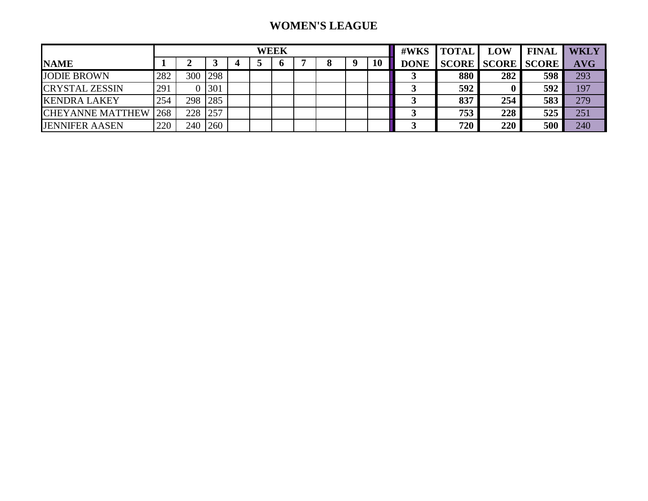## **WOMEN'S LEAGUE**

|                         |     |     |            |  | WEEK |  | #WKS | <b>TOTAL</b> | <b>LOW</b> | <b>FINAL</b>             | <b>WKLY</b> |            |
|-------------------------|-----|-----|------------|--|------|--|------|--------------|------------|--------------------------|-------------|------------|
| <b>NAME</b>             |     |     |            |  |      |  | 10   | <b>DONE</b>  |            | <b>SCORE SCORE SCORE</b> |             | <b>AVG</b> |
| <b>JODIE BROWN</b>      | 282 | 300 | <b>298</b> |  |      |  |      |              | 880        | 282                      | 598         | 293        |
| <b>CRYSTAL ZESSIN</b>   | 291 |     | 301        |  |      |  |      |              | 592        |                          | 592         | 197        |
| <b>KENDRA LAKEY</b>     | 254 | 298 | 285        |  |      |  |      |              | 837        | 254                      | 583         | 279        |
| <b>CHEYANNE MATTHEW</b> | 268 | 228 | 257        |  |      |  |      |              | 753        | 228                      | 525         | 251        |
| <b>JENNIFER AASEN</b>   | 220 | 240 | 260        |  |      |  |      |              | 720        | 220                      | 500         | 240        |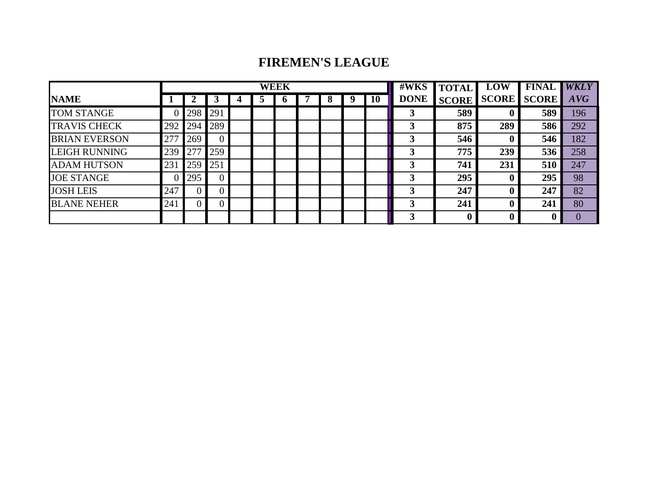## **FIREMEN'S LEAGUE**

|                      |     |                |     |              | <b>WEEK</b> |  |   | #WKS | <b>TOTAL</b> | <b>LOW</b>  | <b>FINAL</b> | <b>WKLY</b>  |              |     |
|----------------------|-----|----------------|-----|--------------|-------------|--|---|------|--------------|-------------|--------------|--------------|--------------|-----|
| <b>NAME</b>          |     |                |     | $\mathbf{c}$ | $\mathbf o$ |  | 8 | 9    | 10           | <b>DONE</b> | <b>SCORE</b> | <b>SCORE</b> | <b>SCORE</b> | AVG |
| <b>TOM STANGE</b>    |     | 298            | 291 |              |             |  |   |      |              | 3           | 589          |              | 589          | 196 |
| <b>TRAVIS CHECK</b>  | 292 | 294            | 289 |              |             |  |   |      |              |             | 875          | 289          | 586          | 292 |
| <b>BRIAN EVERSON</b> | 277 | 269            |     |              |             |  |   |      |              |             | 546          |              | 546          | 182 |
| <b>LEIGH RUNNING</b> | 239 | 277            | 259 |              |             |  |   |      |              | 3           | 775          | 239          | 536          | 258 |
| <b>ADAM HUTSON</b>   | 231 | 259            | 251 |              |             |  |   |      |              |             | 741          | 231          | 510          | 247 |
| <b>JOE STANGE</b>    |     | 295            |     |              |             |  |   |      |              |             | 295          |              | 295          | 98  |
| <b>JOSH LEIS</b>     | 247 | 0              | 0   |              |             |  |   |      |              | 3           | 247          |              | 247          | 82  |
| <b>BLANE NEHER</b>   | 241 | $\overline{0}$ | 0   |              |             |  |   |      |              | 3           | 241          |              | 241          | 80  |
|                      |     |                |     |              |             |  |   |      |              | 3           |              |              |              |     |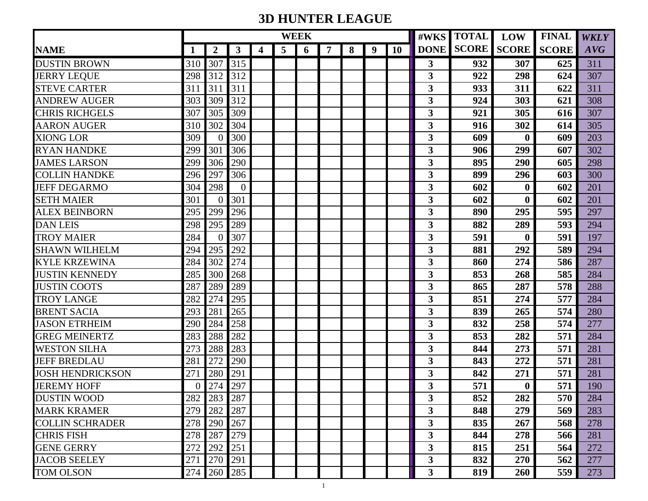# **3D HUNTER LEAGUE**

|                         |     |                  |                |   | <b>WEEK</b>    |   |   |   |   |           | #WKS                    | <b>TOTAL</b>            | <b>LOW</b>       | <b>FINAL</b> | <b>WKLY</b> |
|-------------------------|-----|------------------|----------------|---|----------------|---|---|---|---|-----------|-------------------------|-------------------------|------------------|--------------|-------------|
| <b>NAME</b>             | 1   | $\boldsymbol{2}$ | $\mathbf{3}$   | 4 | $\overline{5}$ | 6 | 7 | 8 | 9 | <b>10</b> |                         | <b>DONE SCORE SCORE</b> |                  | <b>SCORE</b> | AVG         |
| <b>DUSTIN BROWN</b>     | 310 | 307              | 315            |   |                |   |   |   |   |           | 3                       | 932                     | 307              | 625          | 311         |
| <b>JERRY LEQUE</b>      | 298 | 312              | 312            |   |                |   |   |   |   |           | 3                       | 922                     | 298              | 624          | 307         |
| <b>STEVE CARTER</b>     | 311 | 311              | 311            |   |                |   |   |   |   |           | 3                       | 933                     | 311              | 622          | 311         |
| <b>ANDREW AUGER</b>     | 303 | 309              | 312            |   |                |   |   |   |   |           | 3                       | 924                     | 303              | 621          | 308         |
| <b>CHRIS RICHGELS</b>   | 307 | 305              | 309            |   |                |   |   |   |   |           | 3                       | 921                     | 305              | 616          | 307         |
| <b>AARON AUGER</b>      | 310 | 302              | 304            |   |                |   |   |   |   |           | 3                       | 916                     | 302              | 614          | 305         |
| <b>XIONG LOR</b>        | 309 | $\Omega$         | 300            |   |                |   |   |   |   |           | 3                       | 609                     | $\bf{0}$         | 609          | 203         |
| <b>RYAN HANDKE</b>      | 299 | 301              | 306            |   |                |   |   |   |   |           | 3                       | 906                     | 299              | 607          | 302         |
| <b>JAMES LARSON</b>     | 299 | 306              | 290            |   |                |   |   |   |   |           | 3                       | 895                     | 290              | 605          | 298         |
| <b>COLLIN HANDKE</b>    | 296 | 297              | 306            |   |                |   |   |   |   |           | 3                       | 899                     | 296              | 603          | 300         |
| <b>JEFF DEGARMO</b>     | 304 | 298              | $\overline{0}$ |   |                |   |   |   |   |           | 3                       | 602                     | $\bf{0}$         | 602          | 201         |
| <b>SETH MAIER</b>       | 301 | $\Omega$         | 301            |   |                |   |   |   |   |           | $\overline{\mathbf{3}}$ | 602                     | $\mathbf 0$      | 602          | 201         |
| <b>ALEX BEINBORN</b>    | 295 | 299              | 296            |   |                |   |   |   |   |           | $\overline{\mathbf{3}}$ | 890                     | 295              | 595          | 297         |
| <b>DAN LEIS</b>         | 298 | 295              | 289            |   |                |   |   |   |   |           | $\overline{\mathbf{3}}$ | 882                     | 289              | 593          | 294         |
| <b>TROY MAIER</b>       | 284 | $\Omega$         | 307            |   |                |   |   |   |   |           | 3                       | 591                     | $\mathbf 0$      | 591          | 197         |
| <b>SHAWN WILHELM</b>    | 294 | 295              | 292            |   |                |   |   |   |   |           | 3                       | 881                     | 292              | 589          | 294         |
| <b>KYLE KRZEWINA</b>    | 284 | 302              | 274            |   |                |   |   |   |   |           | 3                       | 860                     | 274              | 586          | 287         |
| <b>JUSTIN KENNEDY</b>   | 285 | 300              | 268            |   |                |   |   |   |   |           | 3                       | 853                     | 268              | 585          | 284         |
| <b>JUSTIN COOTS</b>     | 287 | 289              | 289            |   |                |   |   |   |   |           | 3                       | 865                     | 287              | 578          | 288         |
| <b>TROY LANGE</b>       | 282 | 274              | 295            |   |                |   |   |   |   |           | 3                       | 851                     | 274              | 577          | 284         |
| <b>BRENT SACIA</b>      | 293 | 281              | 265            |   |                |   |   |   |   |           | 3                       | 839                     | 265              | 574          | 280         |
| <b>JASON ETRHEIM</b>    | 290 | 284              | 258            |   |                |   |   |   |   |           | 3                       | 832                     | 258              | 574          | 277         |
| <b>GREG MEINERTZ</b>    | 283 | 288              | 282            |   |                |   |   |   |   |           | 3                       | 853                     | 282              | 571          | 284         |
| <b>WESTON SILHA</b>     | 273 | 288              | 283            |   |                |   |   |   |   |           | 3                       | 844                     | 273              | 571          | 281         |
| <b>JEFF BREDLAU</b>     | 281 | 272              | 290            |   |                |   |   |   |   |           | 3                       | 843                     | 272              | 571          | 281         |
| <b>JOSH HENDRICKSON</b> | 271 | 280              | 291            |   |                |   |   |   |   |           | 3                       | 842                     | 271              | 571          | 281         |
| <b>JEREMY HOFF</b>      | 0   | 274              | 297            |   |                |   |   |   |   |           | 3                       | 571                     | $\boldsymbol{0}$ | 571          | 190         |
| <b>DUSTIN WOOD</b>      |     | 282 283 287      |                |   |                |   |   |   |   |           | $\mathbf{3}$            | 852                     | 282              | 570          | 284         |
| <b>MARK KRAMER</b>      | 279 | 282              | 287            |   |                |   |   |   |   |           | $\overline{\mathbf{3}}$ | 848                     | 279              | 569          | 283         |
| <b>COLLIN SCHRADER</b>  | 278 | 290              | 267            |   |                |   |   |   |   |           | 3                       | 835                     | 267              | 568          | 278         |
| <b>CHRIS FISH</b>       | 278 | 287              | 279            |   |                |   |   |   |   |           | $\overline{\mathbf{3}}$ | 844                     | 278              | 566          | 281         |
| <b>GENE GERRY</b>       | 272 | 292              | 251            |   |                |   |   |   |   |           | $\overline{\mathbf{3}}$ | 815                     | 251              | 564          | 272         |
| <b>JACOB SEELEY</b>     | 271 | 270              | 291            |   |                |   |   |   |   |           | $\overline{\mathbf{3}}$ | 832                     | 270              | 562          | 277         |
| <b>TOM OLSON</b>        | 274 | 260              | 285            |   |                |   |   |   |   |           | $\overline{\mathbf{3}}$ | 819                     | 260              | 559          | 273         |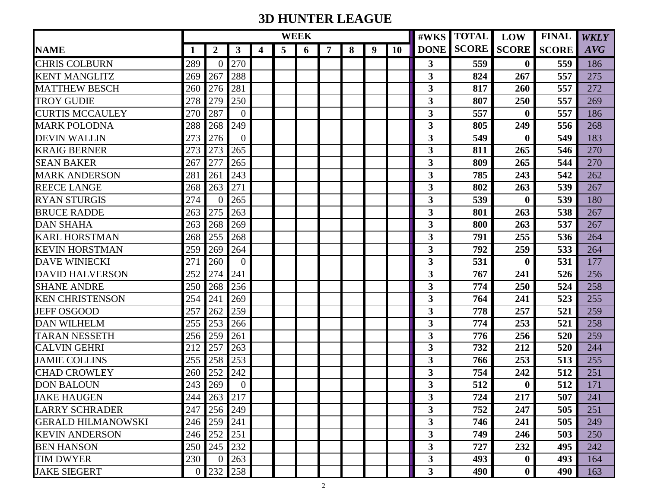# **3D HUNTER LEAGUE**

|                           |                |                  |                |   |                | <b>WEEK</b> |   |   |   | #WKS      | <b>TOTAL</b>            | <b>LOW</b>              | <b>FINAL</b>     | <b>WKLY</b>  |     |
|---------------------------|----------------|------------------|----------------|---|----------------|-------------|---|---|---|-----------|-------------------------|-------------------------|------------------|--------------|-----|
| <b>NAME</b>               | 1              | $\boldsymbol{2}$ | $\mathbf{3}$   | 4 | $\overline{5}$ | 6           | 7 | 8 | 9 | <b>10</b> |                         | <b>DONE SCORE SCORE</b> |                  | <b>SCORE</b> | AVG |
| <b>CHRIS COLBURN</b>      | 289            | $\Omega$         | 270            |   |                |             |   |   |   |           | 3                       | 559                     | $\mathbf{0}$     | 559          | 186 |
| <b>KENT MANGLITZ</b>      | 269            | 267              | 288            |   |                |             |   |   |   |           | 3                       | 824                     | 267              | 557          | 275 |
| <b>MATTHEW BESCH</b>      | 260            | 276              | 281            |   |                |             |   |   |   |           | 3                       | 817                     | 260              | 557          | 272 |
| <b>TROY GUDIE</b>         | 278            | 279              | 250            |   |                |             |   |   |   |           | 3                       | 807                     | 250              | 557          | 269 |
| <b>CURTIS MCCAULEY</b>    | 270            | 287              | $\overline{0}$ |   |                |             |   |   |   |           | 3                       | 557                     | $\bf{0}$         | 557          | 186 |
| <b>MARK POLODNA</b>       | 288            | 268              | 249            |   |                |             |   |   |   |           | 3                       | 805                     | 249              | 556          | 268 |
| <b>DEVIN WALLIN</b>       | 273            | 276              | $\overline{0}$ |   |                |             |   |   |   |           | 3                       | 549                     | $\mathbf 0$      | 549          | 183 |
| <b>KRAIG BERNER</b>       | 273            | 273              | 265            |   |                |             |   |   |   |           | 3                       | 811                     | 265              | 546          | 270 |
| <b>SEAN BAKER</b>         | 267            | 277              | 265            |   |                |             |   |   |   |           | 3                       | 809                     | 265              | 544          | 270 |
| <b>MARK ANDERSON</b>      | 281            | 261              | 243            |   |                |             |   |   |   |           | $\overline{\mathbf{3}}$ | 785                     | 243              | 542          | 262 |
| <b>REECE LANGE</b>        | 268            | 263              | 271            |   |                |             |   |   |   |           | 3                       | 802                     | 263              | 539          | 267 |
| <b>RYAN STURGIS</b>       | 274            | $\Omega$         | 265            |   |                |             |   |   |   |           | $\overline{\mathbf{3}}$ | 539                     | $\boldsymbol{0}$ | 539          | 180 |
| <b>BRUCE RADDE</b>        | 263            | 275              | 263            |   |                |             |   |   |   |           | 3                       | 801                     | 263              | 538          | 267 |
| <b>DAN SHAHA</b>          | 263            | 268              | 269            |   |                |             |   |   |   |           | 3                       | 800                     | 263              | 537          | 267 |
| <b>KARL HORSTMAN</b>      | 268            | 255              | 268            |   |                |             |   |   |   |           | 3                       | 791                     | 255              | 536          | 264 |
| <b>KEVIN HORSTMAN</b>     | 259            | 269              | 264            |   |                |             |   |   |   |           | 3                       | 792                     | 259              | 533          | 264 |
| <b>DAVE WINIECKI</b>      | 271            | 260              | $\theta$       |   |                |             |   |   |   |           | 3                       | 531                     | $\bf{0}$         | 531          | 177 |
| <b>DAVID HALVERSON</b>    | 252            | 274              | 241            |   |                |             |   |   |   |           | 3                       | 767                     | 241              | 526          | 256 |
| <b>SHANE ANDRE</b>        | 250            | 268              | 256            |   |                |             |   |   |   |           | 3                       | 774                     | 250              | 524          | 258 |
| <b>KEN CHRISTENSON</b>    | 254            | 241              | 269            |   |                |             |   |   |   |           | 3                       | 764                     | 241              | 523          | 255 |
| <b>JEFF OSGOOD</b>        | 257            | 262              | 259            |   |                |             |   |   |   |           | 3                       | 778                     | 257              | 521          | 259 |
| <b>DAN WILHELM</b>        | 255            | 253              | 266            |   |                |             |   |   |   |           | 3                       | 774                     | 253              | 521          | 258 |
| <b>TARAN NESSETH</b>      | 256            | 259              | 261            |   |                |             |   |   |   |           | 3                       | 776                     | 256              | 520          | 259 |
| <b>CALVIN GEHRI</b>       | 212            | 257              | 263            |   |                |             |   |   |   |           | 3                       | 732                     | 212              | 520          | 244 |
| <b>JAMIE COLLINS</b>      | 255            | 258              | 253            |   |                |             |   |   |   |           | 3                       | 766                     | 253              | 513          | 255 |
| <b>CHAD CROWLEY</b>       | 260            | 252              | 242            |   |                |             |   |   |   |           | 3                       | 754                     | 242              | 512          | 251 |
| <b>DON BALOUN</b>         | 243            | 269              | $\overline{0}$ |   |                |             |   |   |   |           | 3                       | 512                     | $\bf{0}$         | 512          | 171 |
| <b>JAKE HAUGEN</b>        |                | 244 263 217      |                |   |                |             |   |   |   |           | 3                       | 724                     | 217              | 507          | 241 |
| <b>LARRY SCHRADER</b>     | 247            | 256              | 249            |   |                |             |   |   |   |           | 3 <sup>1</sup>          | 752                     | 247              | 505          | 251 |
| <b>GERALD HILMANOWSKI</b> | 246            | 259              | 241            |   |                |             |   |   |   |           | $\overline{\mathbf{3}}$ | 746                     | 241              | 505          | 249 |
| <b>KEVIN ANDERSON</b>     | 246            | 252              | 251            |   |                |             |   |   |   |           | 3                       | 749                     | 246              | 503          | 250 |
| <b>BEN HANSON</b>         | 250            | 245              | 232            |   |                |             |   |   |   |           | 3                       | 727                     | 232              | 495          | 242 |
| <b>TIM DWYER</b>          | 230            | $\Omega$         | 263            |   |                |             |   |   |   |           | 3                       | 493                     | $\bf{0}$         | 493          | 164 |
| <b>JAKE SIEGERT</b>       | $\overline{0}$ | 232              | 258            |   |                |             |   |   |   |           | 3                       | 490                     | $\bf{0}$         | 490          | 163 |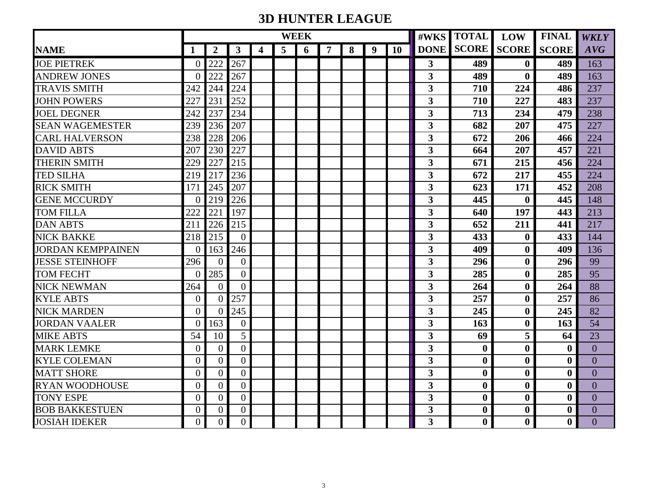# **3D HUNTER LEAGUE**

|                          |                |                  |                |   |                | <b>WEEK</b> |   |   | #WKS             | <b>TOTAL</b> | <b>LOW</b>              | <b>FINAL</b>     | <b>WKLY</b>      |                  |                |
|--------------------------|----------------|------------------|----------------|---|----------------|-------------|---|---|------------------|--------------|-------------------------|------------------|------------------|------------------|----------------|
| <b>NAME</b>              | 1              | $\boldsymbol{2}$ | $\mathbf{3}$   | 4 | $\overline{5}$ | 6           | 7 | 8 | $\boldsymbol{9}$ | <b>10</b>    | <b>DONE</b>             | <b>SCORE</b>     | <b>SCORE</b>     | <b>SCORE</b>     | AVG            |
| <b>JOE PIETREK</b>       | 0              | 222              | 267            |   |                |             |   |   |                  |              | $\mathbf{3}$            | 489              | $\mathbf 0$      | 489              | 163            |
| <b>ANDREW JONES</b>      | $\Omega$       | 222              | 267            |   |                |             |   |   |                  |              | $\overline{\mathbf{3}}$ | 489              | $\boldsymbol{0}$ | 489              | 163            |
| <b>TRAVIS SMITH</b>      | 242            | 244              | 224            |   |                |             |   |   |                  |              | $\overline{\mathbf{3}}$ | 710              | 224              | 486              | 237            |
| <b>JOHN POWERS</b>       | 227            | 231              | 252            |   |                |             |   |   |                  |              | $\overline{\mathbf{3}}$ | 710              | 227              | 483              | 237            |
| <b>JOEL DEGNER</b>       | 242            | 237              | 234            |   |                |             |   |   |                  |              | 3                       | 713              | 234              | 479              | 238            |
| <b>SEAN WAGEMESTER</b>   | 239            | 236              | 207            |   |                |             |   |   |                  |              | 3                       | 682              | 207              | 475              | 227            |
| <b>CARL HALVERSON</b>    | 238            | 228              | 206            |   |                |             |   |   |                  |              | $\overline{\mathbf{3}}$ | 672              | 206              | 466              | 224            |
| <b>DAVID ABTS</b>        | 207            | 230              | 227            |   |                |             |   |   |                  |              | $\overline{\mathbf{3}}$ | 664              | 207              | 457              | 221            |
| <b>THERIN SMITH</b>      | 229            | 227              | 215            |   |                |             |   |   |                  |              | $\overline{\mathbf{3}}$ | 671              | 215              | 456              | 224            |
| <b>TED SILHA</b>         | 219            | 217              | 236            |   |                |             |   |   |                  |              | 3                       | 672              | 217              | 455              | 224            |
| <b>RICK SMITH</b>        | 171            | 245              | 207            |   |                |             |   |   |                  |              | $\overline{\mathbf{3}}$ | 623              | 171              | 452              | 208            |
| <b>GENE MCCURDY</b>      | $\Omega$       | 219              | 226            |   |                |             |   |   |                  |              | $\overline{\mathbf{3}}$ | 445              | $\boldsymbol{0}$ | 445              | 148            |
| <b>TOM FILLA</b>         | 222            | 221              | 197            |   |                |             |   |   |                  |              | $\overline{\mathbf{3}}$ | 640              | 197              | 443              | 213            |
| <b>DAN ABTS</b>          | 211            | 226              | 215            |   |                |             |   |   |                  |              | $\overline{\mathbf{3}}$ | 652              | 211              | 441              | 217            |
| <b>NICK BAKKE</b>        | 218            | 215              | $\overline{0}$ |   |                |             |   |   |                  |              | $\overline{\mathbf{3}}$ | 433              | $\boldsymbol{0}$ | 433              | 144            |
| <b>JORDAN KEMPPAINEN</b> | $\Omega$       | 163              | 246            |   |                |             |   |   |                  |              | $\overline{\mathbf{3}}$ | 409              | $\bf{0}$         | 409              | 136            |
| <b>JESSE STEINHOFF</b>   | 296            | $\Omega$         | $\overline{0}$ |   |                |             |   |   |                  |              | $\overline{\mathbf{3}}$ | 296              | $\boldsymbol{0}$ | 296              | 99             |
| <b>TOM FECHT</b>         | 0              | 285              | $\overline{0}$ |   |                |             |   |   |                  |              | $\overline{\mathbf{3}}$ | 285              | $\boldsymbol{0}$ | 285              | 95             |
| <b>NICK NEWMAN</b>       | 264            | $\overline{0}$   | $\overline{0}$ |   |                |             |   |   |                  |              | 3                       | 264              | $\bf{0}$         | 264              | 88             |
| <b>KYLE ABTS</b>         | $\overline{0}$ | $\Omega$         | 257            |   |                |             |   |   |                  |              | $\overline{\mathbf{3}}$ | 257              | $\boldsymbol{0}$ | 257              | 86             |
| <b>NICK MARDEN</b>       | $\Omega$       | $\Omega$         | 245            |   |                |             |   |   |                  |              | $\overline{\mathbf{3}}$ | 245              | $\boldsymbol{0}$ | 245              | 82             |
| <b>JORDAN VAALER</b>     | 0              | 163              | $\theta$       |   |                |             |   |   |                  |              | 3                       | 163              | $\mathbf{0}$     | 163              | 54             |
| <b>MIKE ABTS</b>         | 54             | 10               | 5              |   |                |             |   |   |                  |              | $\overline{\mathbf{3}}$ | 69               | 5                | 64               | 23             |
| <b>MARK LEMKE</b>        | $\overline{0}$ | $\Omega$         | $\overline{0}$ |   |                |             |   |   |                  |              | 3                       | $\bf{0}$         | $\boldsymbol{0}$ | $\boldsymbol{0}$ | $\overline{0}$ |
| <b>KYLE COLEMAN</b>      | $\overline{0}$ | $\overline{0}$   | $\overline{0}$ |   |                |             |   |   |                  |              | $\overline{\mathbf{3}}$ | $\bf{0}$         | $\boldsymbol{0}$ | $\bf{0}$         | $\overline{0}$ |
| <b>MATT SHORE</b>        | $\Omega$       | $\theta$         | $\overline{0}$ |   |                |             |   |   |                  |              | $\overline{\mathbf{3}}$ | $\mathbf{0}$     | $\boldsymbol{0}$ | $\boldsymbol{0}$ | $\overline{0}$ |
| <b>RYAN WOODHOUSE</b>    | $\theta$       | $\theta$         | $\overline{0}$ |   |                |             |   |   |                  |              | $\overline{\mathbf{3}}$ | $\mathbf{0}$     | $\boldsymbol{0}$ | $\boldsymbol{0}$ | $\theta$       |
| <b>TONY ESPE</b>         | $\overline{0}$ | $\Omega$         | $\overline{0}$ |   |                |             |   |   |                  |              | 3                       | $\mathbf{0}$     | $\boldsymbol{0}$ | $\bf{0}$         | $\overline{0}$ |
| <b>BOB BAKKESTUEN</b>    | $\Omega$       | $\overline{0}$   | $\overline{0}$ |   |                |             |   |   |                  |              | $\overline{\mathbf{3}}$ | $\boldsymbol{0}$ | $\boldsymbol{0}$ | $\boldsymbol{0}$ | $\overline{0}$ |
| <b>JOSIAH IDEKER</b>     | $\overline{0}$ | $\overline{0}$   | $\overline{0}$ |   |                |             |   |   |                  |              | $\overline{\mathbf{3}}$ | $\mathbf{0}$     | $\bf{0}$         | $\boldsymbol{0}$ | $\overline{0}$ |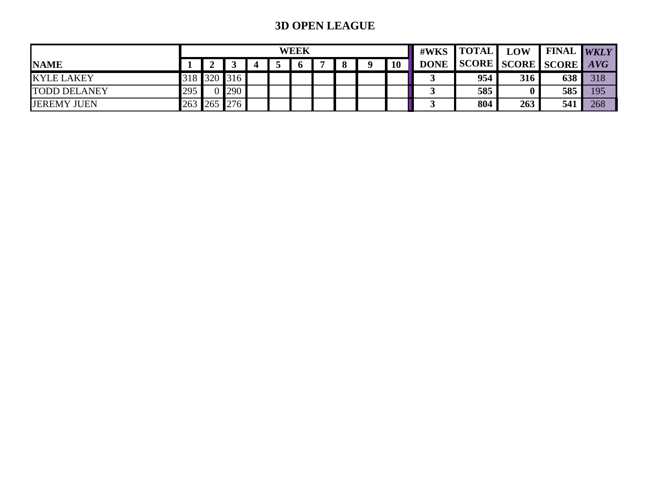## **3D OPEN LEAGUE**

|                     |         |     |     |  | <b>WEEK</b> |  |  |           | $\#WKS$   TOTAL | <b>LOW</b> | <b>I FINAL WKLY</b>   |     |     |
|---------------------|---------|-----|-----|--|-------------|--|--|-----------|-----------------|------------|-----------------------|-----|-----|
| <b>NAME</b>         |         |     |     |  | $\mathbf 6$ |  |  | <b>10</b> | <b>DONE</b>     |            | SCORE SCORE SCORE AVG |     |     |
| <b>KYLE LAKEY</b>   | 318 320 |     | 316 |  |             |  |  |           |                 | 954        | 316                   | 638 | 318 |
| <b>TODD DELANEY</b> | 295     |     | 290 |  |             |  |  |           |                 | 585        |                       | 585 | 195 |
| <b>JEREMY JUEN</b>  | 263     | 265 | 276 |  |             |  |  |           |                 | 804        | 263                   | 541 | 268 |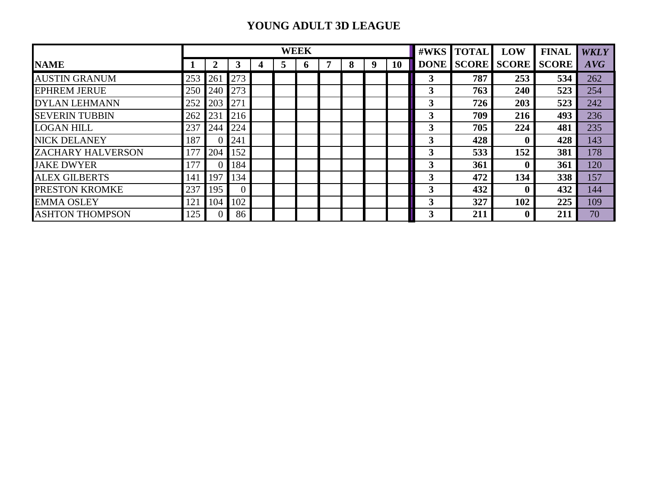## **YOUNG ADULT 3D LEAGUE**

|                          |     |                 |     |   |   | <b>WEEK</b>  |   |   |   | #WKS      | <b>TOTAL</b> | LOW | <b>FINAL</b>       | <b>WKLY</b>  |     |
|--------------------------|-----|-----------------|-----|---|---|--------------|---|---|---|-----------|--------------|-----|--------------------|--------------|-----|
| <b>NAME</b>              |     | $\mathbf 2$     | 3   | 4 | 5 | <sub>0</sub> | 7 | 8 | 9 | <b>10</b> | <b>DONE</b>  |     | <b>SCORE SCORE</b> | <b>SCORE</b> | AVG |
| <b>AUSTIN GRANUM</b>     | 253 | 26 <sup>2</sup> | 273 |   |   |              |   |   |   |           | 3            | 787 | 253                | 534          | 262 |
| <b>EPHREM JERUE</b>      | 250 | 240             | 273 |   |   |              |   |   |   |           | 3            | 763 | 240                | 523          | 254 |
| <b>DYLAN LEHMANN</b>     | 252 | 203             | 271 |   |   |              |   |   |   |           | 3            | 726 | 203                | 523          | 242 |
| <b>SEVERIN TUBBIN</b>    | 262 | 231             | 216 |   |   |              |   |   |   |           | 3            | 709 | 216                | 493          | 236 |
| <b>LOGAN HILL</b>        | 237 | 244             | 224 |   |   |              |   |   |   |           | 3            | 705 | 224                | 481          | 235 |
| <b>NICK DELANEY</b>      | 187 |                 | 241 |   |   |              |   |   |   |           | 3            | 428 | $\mathbf{0}$       | 428          | 143 |
| <b>ZACHARY HALVERSON</b> | 177 | 204             | 152 |   |   |              |   |   |   |           | 3            | 533 | 152                | 381          | 178 |
| <b>JAKE DWYER</b>        | 177 |                 | 184 |   |   |              |   |   |   |           | 3            | 361 | 0                  | 361          | 120 |
| <b>ALEX GILBERTS</b>     | 141 | 197             | 134 |   |   |              |   |   |   |           | 3            | 472 | 134                | 338          | 157 |
| PRESTON KROMKE           | 237 | 195             | 0   |   |   |              |   |   |   |           | 3            | 432 | $\bf{0}$           | 432          | 144 |
| <b>EMMA OSLEY</b>        | 121 | 104             | 102 |   |   |              |   |   |   |           | 3            | 327 | 102                | 225          | 109 |
| <b>ASHTON THOMPSON</b>   | 125 | $\overline{0}$  | 86  |   |   |              |   |   |   |           | 3            | 211 | $\boldsymbol{0}$   | 211          | 70  |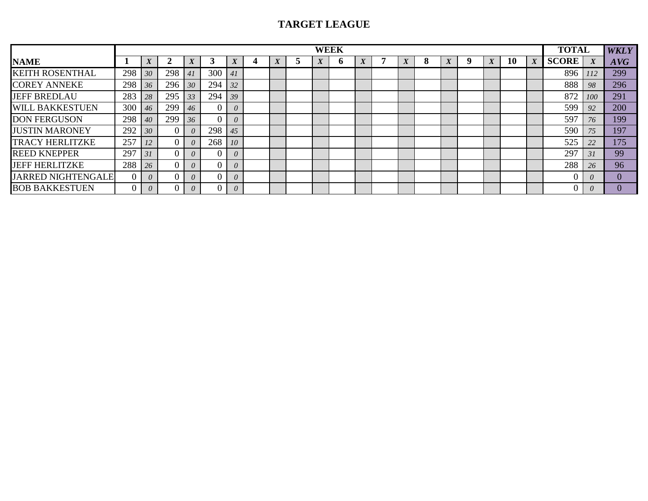## **TARGET LEAGUE**

|                           |     |          |     |          |     |                 |                  |                  | <b>WEEK</b> |                  |   |   |                  |                   |    |                  | <b>TOTAL</b> |            | <b>WKLY</b> |
|---------------------------|-----|----------|-----|----------|-----|-----------------|------------------|------------------|-------------|------------------|---|---|------------------|-------------------|----|------------------|--------------|------------|-------------|
| <b>NAME</b>               |     |          |     |          |     | $\mathbf{v}$    | $\boldsymbol{X}$ | $\boldsymbol{X}$ | o           | $\boldsymbol{X}$ | X | 8 | $\boldsymbol{X}$ | $\mathbf{v}$<br>A | 10 | $\boldsymbol{X}$ | <b>SCORE</b> |            | AVG         |
| <b>KEITH ROSENTHAL</b>    | 298 | 30       | 298 | 41       | 300 | $\overline{41}$ |                  |                  |             |                  |   |   |                  |                   |    |                  | 896          | 112        | 299         |
| <b>COREY ANNEKE</b>       | 298 | 36       | 296 | 30       | 294 | 32              |                  |                  |             |                  |   |   |                  |                   |    |                  | 888          | 98         | 296         |
| <b>JEFF BREDLAU</b>       | 283 | 28       | 295 | 33       | 294 | 39              |                  |                  |             |                  |   |   |                  |                   |    |                  | 872          | <i>100</i> | 291         |
| <b>WILL BAKKESTUEN</b>    | 300 | 46       | 299 | 46       |     | $\theta$        |                  |                  |             |                  |   |   |                  |                   |    |                  | 599          | 92         | 200         |
| <b>DON FERGUSON</b>       | 298 | 40       | 299 | 36       |     | $\theta$        |                  |                  |             |                  |   |   |                  |                   |    |                  | 597          | 76         | 199         |
| <b>JUSTIN MARONEY</b>     | 292 | 30       |     |          | 298 | 45              |                  |                  |             |                  |   |   |                  |                   |    |                  | 590          | 75         | 197         |
| <b>TRACY HERLITZKE</b>    | 257 | 12       |     |          | 268 | 10              |                  |                  |             |                  |   |   |                  |                   |    |                  | 525          | 22         | 175         |
| <b>REED KNEPPER</b>       | 297 | 31       |     |          |     | $\theta$        |                  |                  |             |                  |   |   |                  |                   |    |                  | 297          | 31         | 99          |
| <b>JEFF HERLITZKE</b>     | 288 | 26       |     |          |     | 0               |                  |                  |             |                  |   |   |                  |                   |    |                  | 288          | 26         | 96          |
| <b>JARRED NIGHTENGALE</b> |     | $\theta$ |     |          |     | $\theta$        |                  |                  |             |                  |   |   |                  |                   |    |                  |              | $\theta$   |             |
| <b>BOB BAKKESTUEN</b>     |     | 0        |     | $\theta$ |     | 0               |                  |                  |             |                  |   |   |                  |                   |    |                  |              | $\theta$   |             |